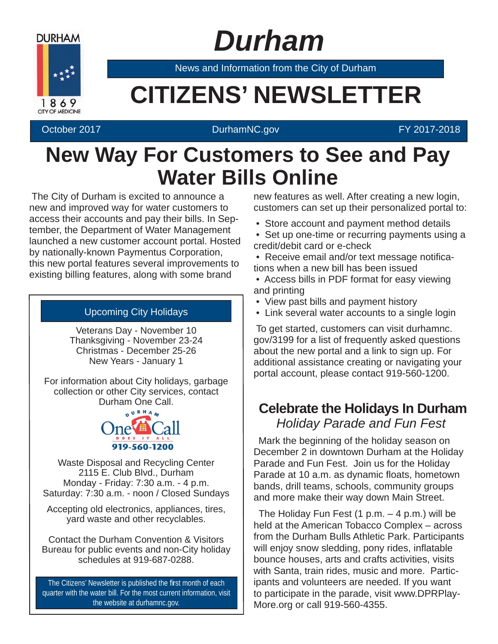

## *Durham*

News and Information from the City of Durham

# **Example 20 CITIZENS' NEWSLETTER**

#### October 2017 **DurhamNC.gov Contract Contract Contract Contract Contract Contract Contract Contract Contract Contract Contract Contract Contract Contract Contract Contract Contract Contract Contract Contract Contract Cont**

### **New Way For Customers to See and Pay Water Bills Online**

The City of Durham is excited to announce a new and improved way for water customers to access their accounts and pay their bills. In September, the Department of Water Management launched a new customer account portal. Hosted by nationally-known Paymentus Corporation, this new portal features several improvements to existing billing features, along with some brand

#### Upcoming City Holidays

Veterans Day - November 10 Thanksgiving - November 23-24 Christmas - December 25-26 New Years - January 1

For information about City holidays, garbage collection or other City services, contact Durham One Call.



Waste Disposal and Recycling Center 2115 E. Club Blvd., Durham Monday - Friday: 7:30 a.m. - 4 p.m. Saturday: 7:30 a.m. - noon / Closed Sundays

Accepting old electronics, appliances, tires, yard waste and other recyclables.

Contact the Durham Convention & Visitors Bureau for public events and non-City holiday schedules at 919-687-0288.

The Citizens' Newsletter is published the first month of each quarter with the water bill. For the most current information, visit the website at durhamnc.gov.

new features as well. After creating a new login, customers can set up their personalized portal to:

- Store account and payment method details
- Set up one-time or recurring payments using a credit/debit card or e-check
- Receive email and/or text message notifications when a new bill has been issued
- Access bills in PDF format for easy viewing and printing
- View past bills and payment history
- Link several water accounts to a single login

To get started, customers can visit durhamnc. gov/3199 for a list of frequently asked questions about the new portal and a link to sign up. For additional assistance creating or navigating your portal account, please contact 919-560-1200.

### **Celebrate the Holidays In Durham** *Holiday Parade and Fun Fest*

Mark the beginning of the holiday season on December 2 in downtown Durham at the Holiday Parade and Fun Fest. Join us for the Holiday Parade at 10 a.m. as dynamic floats, hometown bands, drill teams, schools, community groups and more make their way down Main Street.

The Holiday Fun Fest  $(1 p.m. - 4 p.m.)$  will be held at the American Tobacco Complex – across from the Durham Bulls Athletic Park. Participants will enjoy snow sledding, pony rides, inflatable bounce houses, arts and crafts activities, visits with Santa, train rides, music and more. Participants and volunteers are needed. If you want to participate in the parade, visit www.DPRPlay-More.org or call 919-560-4355.